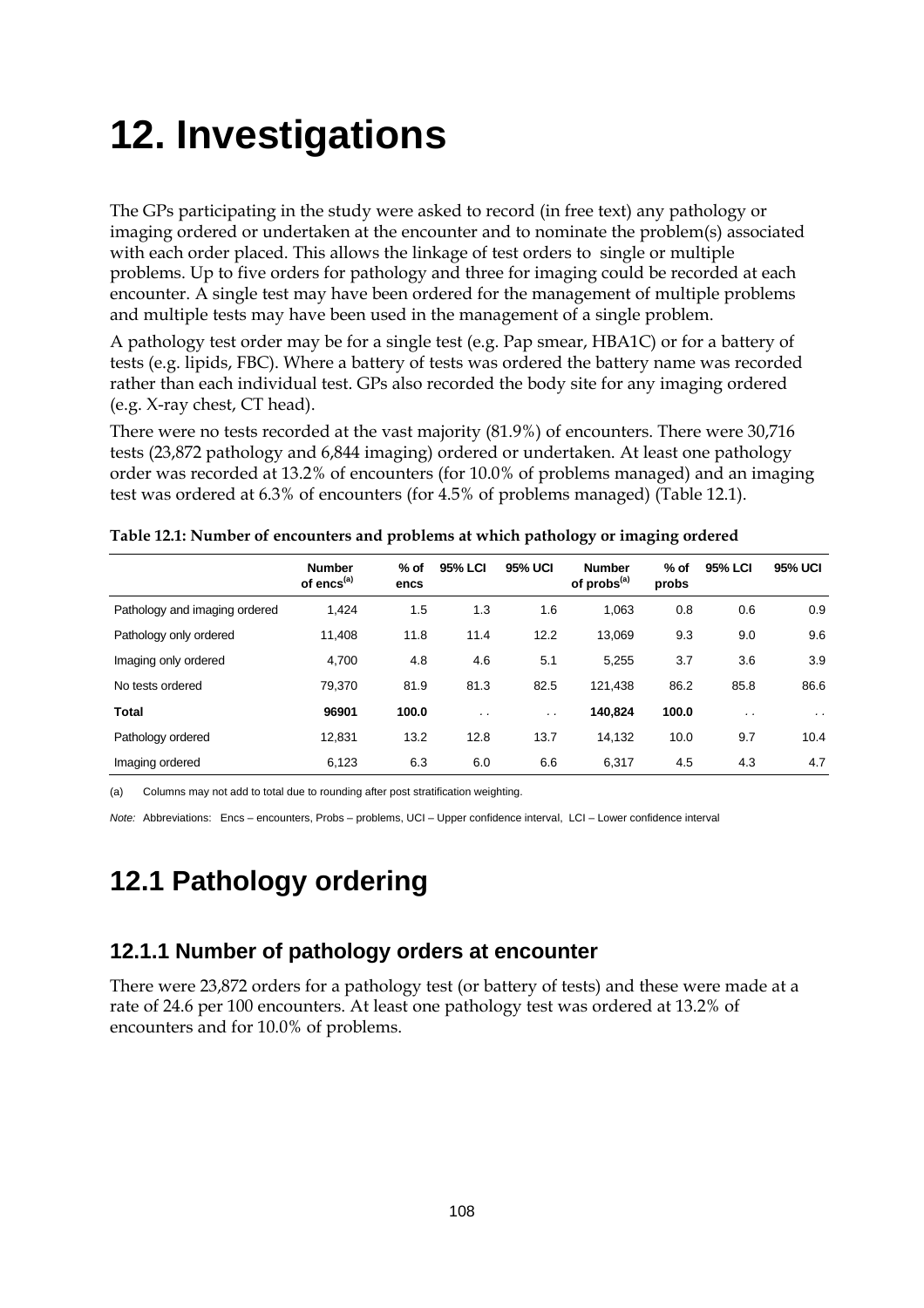# **12. Investigations**

The GPs participating in the study were asked to record (in free text) any pathology or imaging ordered or undertaken at the encounter and to nominate the problem(s) associated with each order placed. This allows the linkage of test orders to single or multiple problems. Up to five orders for pathology and three for imaging could be recorded at each encounter. A single test may have been ordered for the management of multiple problems and multiple tests may have been used in the management of a single problem.

A pathology test order may be for a single test (e.g. Pap smear, HBA1C) or for a battery of tests (e.g. lipids, FBC). Where a battery of tests was ordered the battery name was recorded rather than each individual test. GPs also recorded the body site for any imaging ordered (e.g. X-ray chest, CT head).

There were no tests recorded at the vast majority (81.9%) of encounters. There were 30,716 tests (23,872 pathology and 6,844 imaging) ordered or undertaken. At least one pathology order was recorded at 13.2% of encounters (for 10.0% of problems managed) and an imaging test was ordered at 6.3% of encounters (for 4.5% of problems managed) (Table 12.1).

|                               | <b>Number</b><br>of encs <sup>(a)</sup> | $%$ of<br>encs | <b>95% LCI</b> | 95% UCI   | <b>Number</b><br>of probs <sup>(a)</sup> | $%$ of<br>probs | <b>95% LCI</b> | <b>95% UCI</b>       |
|-------------------------------|-----------------------------------------|----------------|----------------|-----------|------------------------------------------|-----------------|----------------|----------------------|
| Pathology and imaging ordered | 1,424                                   | 1.5            | 1.3            | 1.6       | 1,063                                    | 0.8             | 0.6            | 0.9                  |
| Pathology only ordered        | 11.408                                  | 11.8           | 11.4           | 12.2      | 13,069                                   | 9.3             | 9.0            | 9.6                  |
| Imaging only ordered          | 4,700                                   | 4.8            | 4.6            | 5.1       | 5.255                                    | 3.7             | 3.6            | 3.9                  |
| No tests ordered              | 79.370                                  | 81.9           | 81.3           | 82.5      | 121,438                                  | 86.2            | 85.8           | 86.6                 |
| <b>Total</b>                  | 96901                                   | 100.0          | $\cdot$ .      | $\cdot$ . | 140,824                                  | 100.0           | $\sim$ $\sim$  | $\ddot{\phantom{0}}$ |
| Pathology ordered             | 12.831                                  | 13.2           | 12.8           | 13.7      | 14.132                                   | 10.0            | 9.7            | 10.4                 |
| Imaging ordered               | 6,123                                   | 6.3            | 6.0            | 6.6       | 6,317                                    | 4.5             | 4.3            | 4.7                  |

|  | Table 12.1: Number of encounters and problems at which pathology or imaging ordered |  |  |  |
|--|-------------------------------------------------------------------------------------|--|--|--|
|--|-------------------------------------------------------------------------------------|--|--|--|

(a) Columns may not add to total due to rounding after post stratification weighting.

*Note:* Abbreviations: Encs – encounters, Probs – problems, UCI – Upper confidence interval, LCI – Lower confidence interval

## **12.1 Pathology ordering**

### **12.1.1 Number of pathology orders at encounter**

There were 23,872 orders for a pathology test (or battery of tests) and these were made at a rate of 24.6 per 100 encounters. At least one pathology test was ordered at 13.2% of encounters and for 10.0% of problems.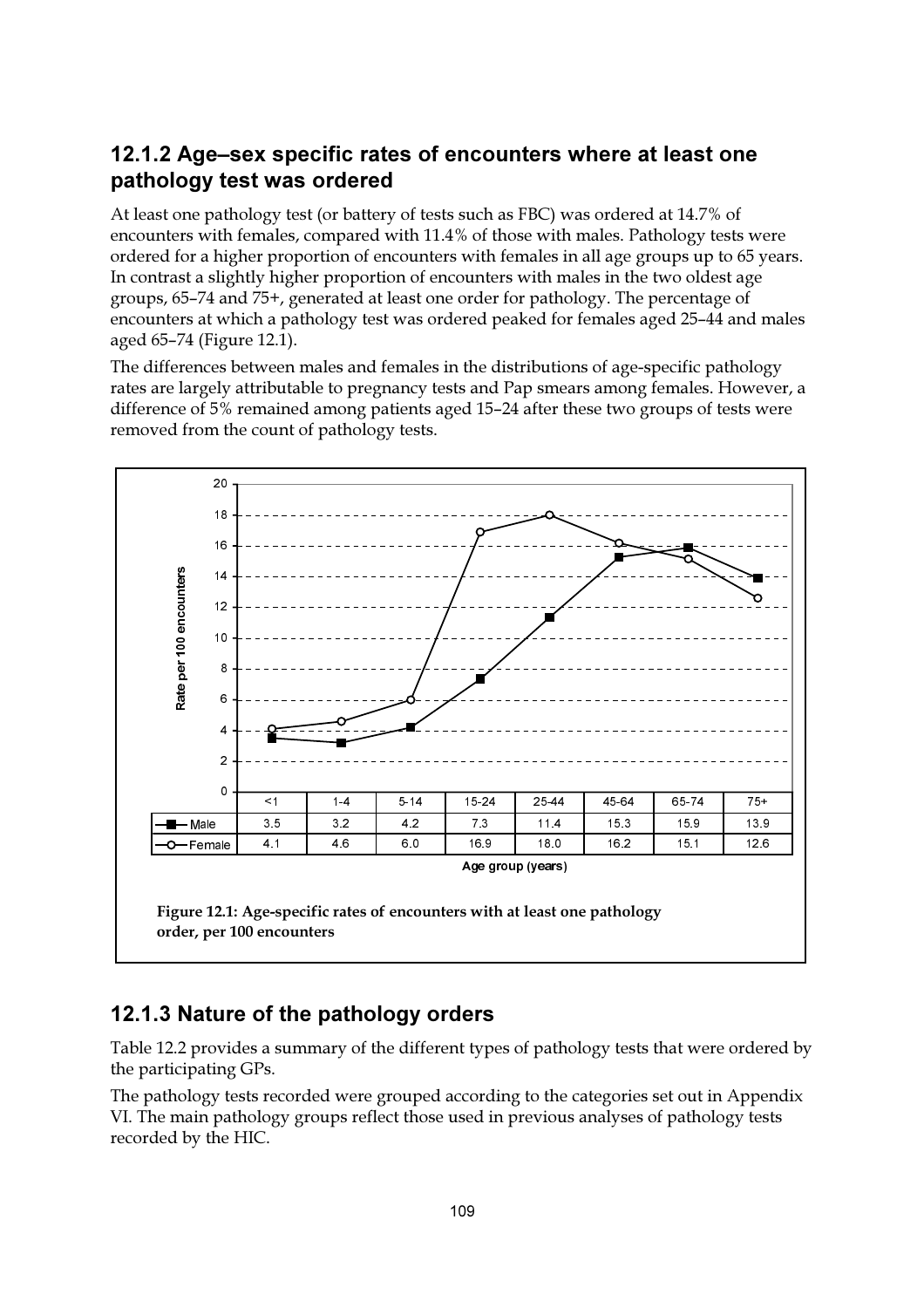### 12.1.2 Age-sex specific rates of encounters where at least one pathology test was ordered

At least one pathology test (or battery of tests such as FBC) was ordered at 14.7% of encounters with females, compared with 11.4% of those with males. Pathology tests were ordered for a higher proportion of encounters with females in all age groups up to 65 years. In contrast a slightly higher proportion of encounters with males in the two oldest age groups, 65-74 and 75+, generated at least one order for pathology. The percentage of encounters at which a pathology test was ordered peaked for females aged 25–44 and males aged 65–74 (Figure 12.1).

The differences between males and females in the distributions of age-specific pathology rates are largely attributable to pregnancy tests and Pap smears among females. However, a difference of 5% remained among patients aged 15–24 after these two groups of tests were removed from the count of pathology tests.



### 12.1.3 Nature of the pathology orders

Table 12.2 provides a summary of the different types of pathology tests that were ordered by the participating GPs.

The pathology tests recorded were grouped according to the categories set out in Appendix VI. The main pathology groups reflect those used in previous analyses of pathology tests recorded by the HIC.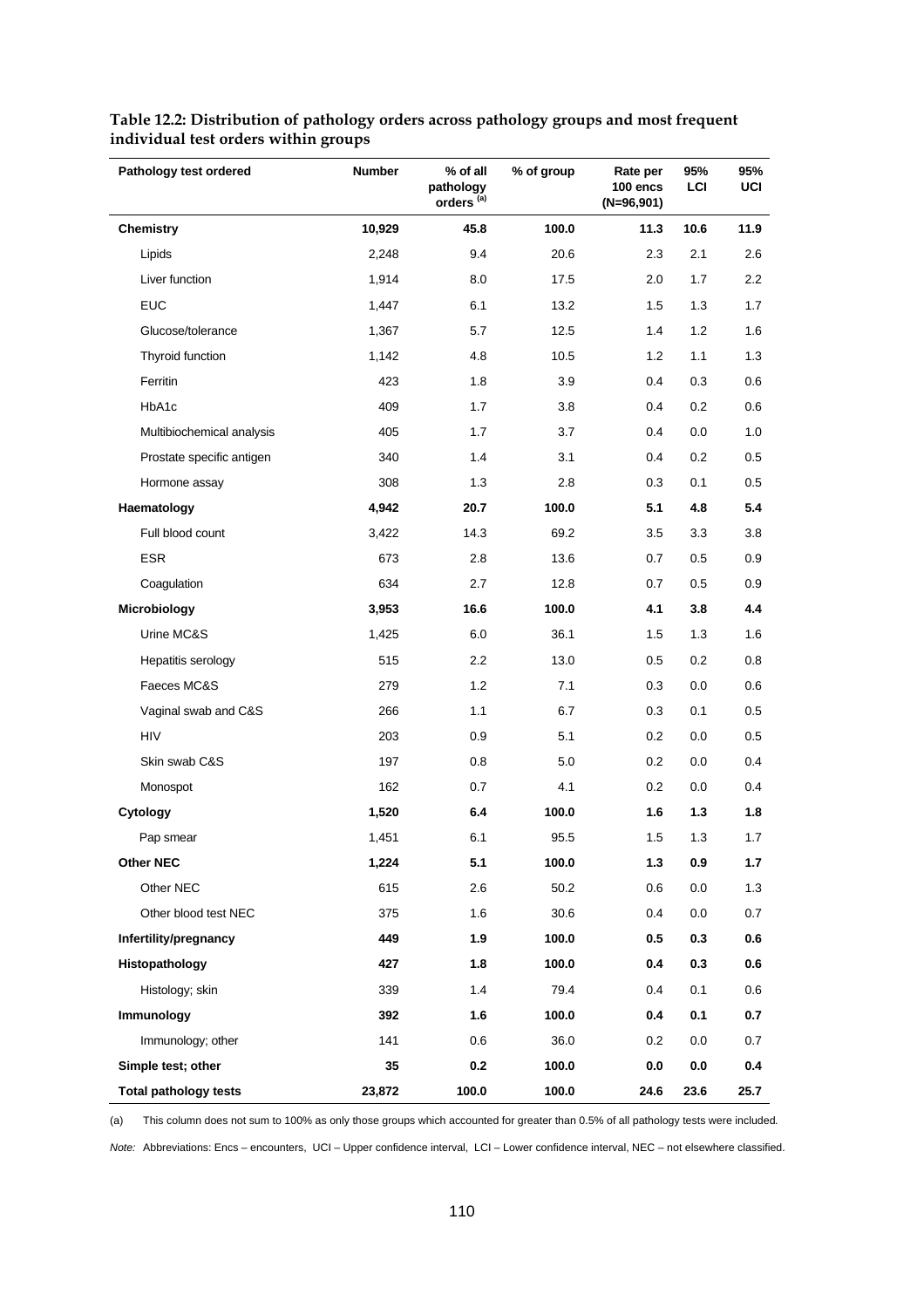| Pathology test ordered       | <b>Number</b> | % of all<br>pathology<br>orders <sup>(a)</sup> | % of group | Rate per<br>100 encs<br>$(N=96,901)$ | 95%<br>LCI | 95%<br>UCI |
|------------------------------|---------------|------------------------------------------------|------------|--------------------------------------|------------|------------|
| <b>Chemistry</b>             | 10,929        | 45.8                                           | 100.0      | 11.3                                 | 10.6       | 11.9       |
| Lipids                       | 2,248         | 9.4                                            | 20.6       | 2.3                                  | 2.1        | 2.6        |
| Liver function               | 1,914         | 8.0                                            | 17.5       | 2.0                                  | 1.7        | $2.2\,$    |
| <b>EUC</b>                   | 1,447         | 6.1                                            | 13.2       | 1.5                                  | 1.3        | 1.7        |
| Glucose/tolerance            | 1,367         | 5.7                                            | 12.5       | 1.4                                  | 1.2        | 1.6        |
| Thyroid function             | 1,142         | 4.8                                            | 10.5       | 1.2                                  | 1.1        | 1.3        |
| Ferritin                     | 423           | 1.8                                            | 3.9        | 0.4                                  | 0.3        | 0.6        |
| HbA1c                        | 409           | 1.7                                            | 3.8        | 0.4                                  | 0.2        | 0.6        |
| Multibiochemical analysis    | 405           | 1.7                                            | 3.7        | 0.4                                  | 0.0        | 1.0        |
| Prostate specific antigen    | 340           | 1.4                                            | 3.1        | 0.4                                  | 0.2        | 0.5        |
| Hormone assay                | 308           | 1.3                                            | 2.8        | 0.3                                  | 0.1        | 0.5        |
| Haematology                  | 4,942         | 20.7                                           | 100.0      | 5.1                                  | 4.8        | 5.4        |
| Full blood count             | 3,422         | 14.3                                           | 69.2       | 3.5                                  | 3.3        | 3.8        |
| ESR                          | 673           | 2.8                                            | 13.6       | 0.7                                  | 0.5        | 0.9        |
| Coagulation                  | 634           | 2.7                                            | 12.8       | 0.7                                  | 0.5        | 0.9        |
| Microbiology                 | 3,953         | 16.6                                           | 100.0      | 4.1                                  | 3.8        | 4.4        |
| Urine MC&S                   | 1,425         | 6.0                                            | 36.1       | 1.5                                  | 1.3        | 1.6        |
| Hepatitis serology           | 515           | 2.2                                            | 13.0       | 0.5                                  | 0.2        | 0.8        |
| Faeces MC&S                  | 279           | 1.2                                            | 7.1        | 0.3                                  | 0.0        | 0.6        |
| Vaginal swab and C&S         | 266           | 1.1                                            | 6.7        | 0.3                                  | 0.1        | 0.5        |
| <b>HIV</b>                   | 203           | 0.9                                            | 5.1        | 0.2                                  | 0.0        | 0.5        |
| Skin swab C&S                | 197           | 0.8                                            | 5.0        | 0.2                                  | 0.0        | 0.4        |
| Monospot                     | 162           | 0.7                                            | 4.1        | 0.2                                  | 0.0        | 0.4        |
| Cytology                     | 1,520         | 6.4                                            | 100.0      | 1.6                                  | 1.3        | 1.8        |
| Pap smear                    | 1,451         | 6.1                                            | 95.5       | 1.5                                  | 1.3        | 1.7        |
| <b>Other NEC</b>             | 1,224         | 5.1                                            | 100.0      | $1.3$                                | 0.9        | 1.7        |
| Other NEC                    | 615           | 2.6                                            | 50.2       | 0.6                                  | 0.0        | 1.3        |
| Other blood test NEC         | 375           | 1.6                                            | 30.6       | 0.4                                  | 0.0        | 0.7        |
| Infertility/pregnancy        | 449           | 1.9                                            | 100.0      | 0.5                                  | 0.3        | 0.6        |
| Histopathology               | 427           | 1.8                                            | 100.0      | 0.4                                  | 0.3        | 0.6        |
| Histology; skin              | 339           | 1.4                                            | 79.4       | 0.4                                  | 0.1        | 0.6        |
| Immunology                   | 392           | 1.6                                            | 100.0      | 0.4                                  | 0.1        | 0.7        |
| Immunology; other            | 141           | 0.6                                            | 36.0       | 0.2                                  | $0.0\,$    | 0.7        |
| Simple test; other           | 35            | 0.2                                            | 100.0      | 0.0                                  | 0.0        | 0.4        |
| <b>Total pathology tests</b> | 23,872        | 100.0                                          | 100.0      | 24.6                                 | 23.6       | 25.7       |

#### **Table 12.2: Distribution of pathology orders across pathology groups and most frequent individual test orders within groups**

(a) This column does not sum to 100% as only those groups which accounted for greater than 0.5% of all pathology tests were included*.*

*Note:* Abbreviations: Encs – encounters, UCI – Upper confidence interval, LCI – Lower confidence interval, NEC – not elsewhere classified.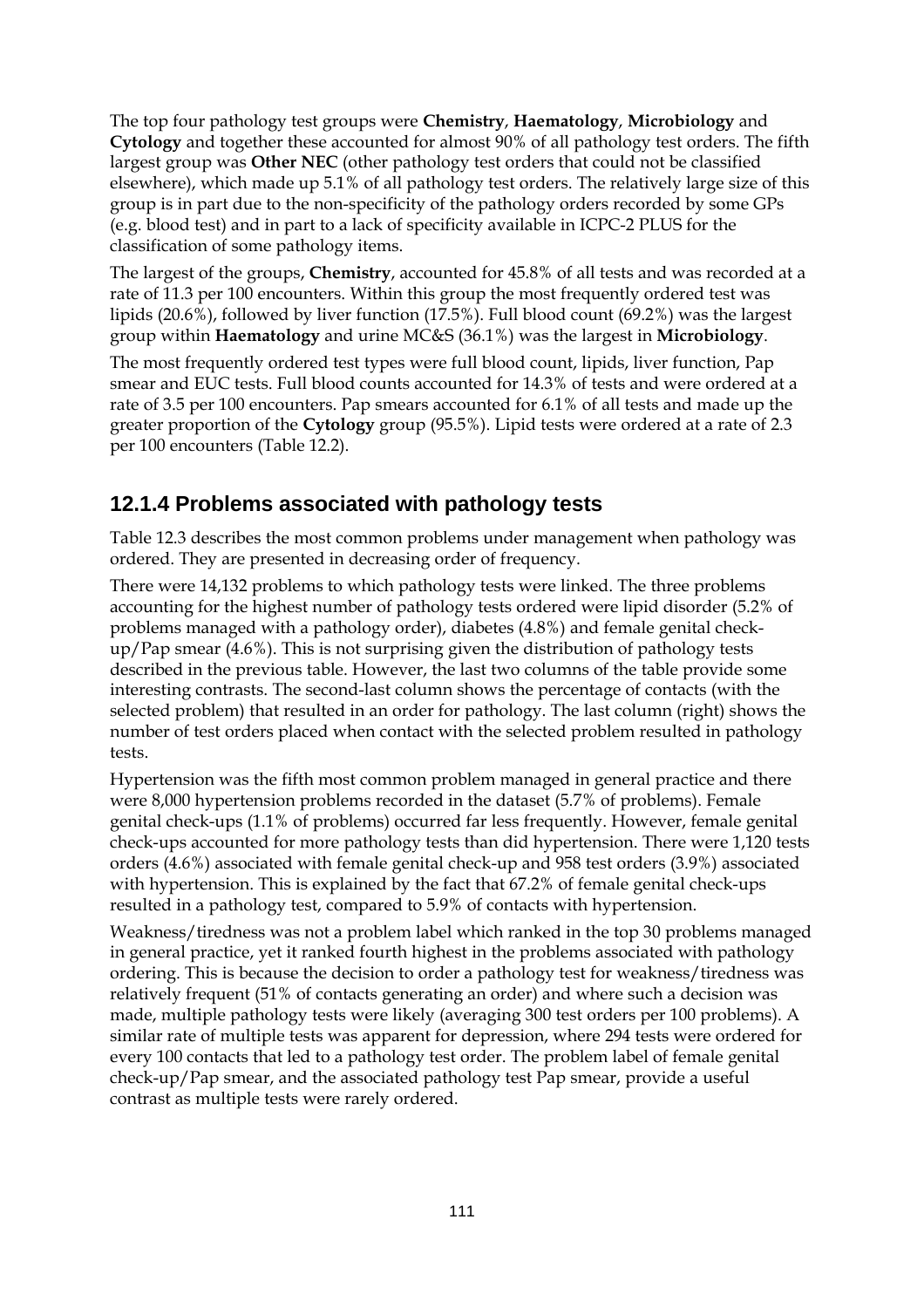The top four pathology test groups were **Chemistry**, **Haematology**, **Microbiology** and **Cytology** and together these accounted for almost 90% of all pathology test orders. The fifth largest group was **Other NEC** (other pathology test orders that could not be classified elsewhere), which made up 5.1% of all pathology test orders. The relatively large size of this group is in part due to the non-specificity of the pathology orders recorded by some GPs (e.g. blood test) and in part to a lack of specificity available in ICPC-2 PLUS for the classification of some pathology items.

The largest of the groups, **Chemistry**, accounted for 45.8% of all tests and was recorded at a rate of 11.3 per 100 encounters. Within this group the most frequently ordered test was lipids (20.6%), followed by liver function (17.5%). Full blood count (69.2%) was the largest group within **Haematology** and urine MC&S (36.1%) was the largest in **Microbiology**.

The most frequently ordered test types were full blood count, lipids, liver function, Pap smear and EUC tests. Full blood counts accounted for 14.3% of tests and were ordered at a rate of 3.5 per 100 encounters. Pap smears accounted for 6.1% of all tests and made up the greater proportion of the **Cytology** group (95.5%). Lipid tests were ordered at a rate of 2.3 per 100 encounters (Table 12.2).

### **12.1.4 Problems associated with pathology tests**

Table 12.3 describes the most common problems under management when pathology was ordered. They are presented in decreasing order of frequency.

There were 14,132 problems to which pathology tests were linked. The three problems accounting for the highest number of pathology tests ordered were lipid disorder (5.2% of problems managed with a pathology order), diabetes (4.8%) and female genital checkup/Pap smear (4.6%). This is not surprising given the distribution of pathology tests described in the previous table. However, the last two columns of the table provide some interesting contrasts. The second-last column shows the percentage of contacts (with the selected problem) that resulted in an order for pathology. The last column (right) shows the number of test orders placed when contact with the selected problem resulted in pathology tests.

Hypertension was the fifth most common problem managed in general practice and there were 8,000 hypertension problems recorded in the dataset (5.7% of problems). Female genital check-ups (1.1% of problems) occurred far less frequently. However, female genital check-ups accounted for more pathology tests than did hypertension. There were 1,120 tests orders (4.6%) associated with female genital check-up and 958 test orders (3.9%) associated with hypertension. This is explained by the fact that 67.2% of female genital check-ups resulted in a pathology test, compared to 5.9% of contacts with hypertension.

Weakness/tiredness was not a problem label which ranked in the top 30 problems managed in general practice, yet it ranked fourth highest in the problems associated with pathology ordering. This is because the decision to order a pathology test for weakness/tiredness was relatively frequent (51% of contacts generating an order) and where such a decision was made, multiple pathology tests were likely (averaging 300 test orders per 100 problems). A similar rate of multiple tests was apparent for depression, where 294 tests were ordered for every 100 contacts that led to a pathology test order. The problem label of female genital check-up/Pap smear, and the associated pathology test Pap smear, provide a useful contrast as multiple tests were rarely ordered.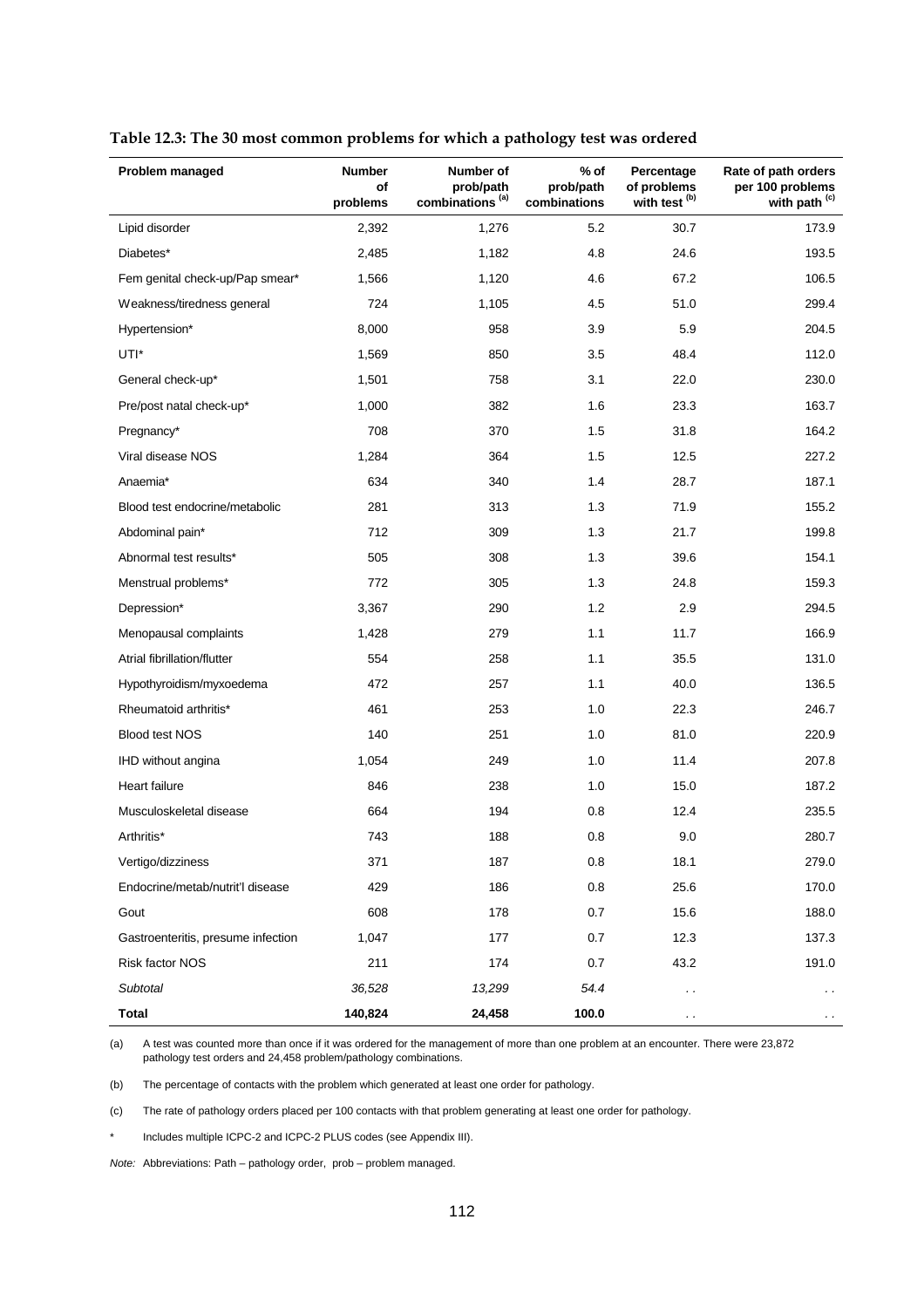| Problem managed                    | <b>Number</b><br>of | Number of<br>prob/path      | % of<br>prob/path | Percentage<br>of problems | Rate of path orders<br>per 100 problems |
|------------------------------------|---------------------|-----------------------------|-------------------|---------------------------|-----------------------------------------|
|                                    | problems            | combinations <sup>(a)</sup> | combinations      | with test <sup>(b)</sup>  | with path (c)                           |
| Lipid disorder                     | 2,392               | 1,276                       | 5.2               | 30.7                      | 173.9                                   |
| Diabetes*                          | 2,485               | 1,182                       | 4.8               | 24.6                      | 193.5                                   |
| Fem genital check-up/Pap smear*    | 1,566               | 1,120                       | 4.6               | 67.2                      | 106.5                                   |
| Weakness/tiredness general         | 724                 | 1,105                       | 4.5               | 51.0                      | 299.4                                   |
| Hypertension*                      | 8,000               | 958                         | 3.9               | 5.9                       | 204.5                                   |
| UTI*                               | 1,569               | 850                         | 3.5               | 48.4                      | 112.0                                   |
| General check-up*                  | 1,501               | 758                         | 3.1               | 22.0                      | 230.0                                   |
| Pre/post natal check-up*           | 1,000               | 382                         | 1.6               | 23.3                      | 163.7                                   |
| Pregnancy*                         | 708                 | 370                         | 1.5               | 31.8                      | 164.2                                   |
| Viral disease NOS                  | 1,284               | 364                         | 1.5               | 12.5                      | 227.2                                   |
| Anaemia*                           | 634                 | 340                         | 1.4               | 28.7                      | 187.1                                   |
| Blood test endocrine/metabolic     | 281                 | 313                         | 1.3               | 71.9                      | 155.2                                   |
| Abdominal pain*                    | 712                 | 309                         | 1.3               | 21.7                      | 199.8                                   |
| Abnormal test results*             | 505                 | 308                         | 1.3               | 39.6                      | 154.1                                   |
| Menstrual problems*                | 772                 | 305                         | 1.3               | 24.8                      | 159.3                                   |
| Depression*                        | 3,367               | 290                         | 1.2               | 2.9                       | 294.5                                   |
| Menopausal complaints              | 1,428               | 279                         | 1.1               | 11.7                      | 166.9                                   |
| Atrial fibrillation/flutter        | 554                 | 258                         | 1.1               | 35.5                      | 131.0                                   |
| Hypothyroidism/myxoedema           | 472                 | 257                         | 1.1               | 40.0                      | 136.5                                   |
| Rheumatoid arthritis*              | 461                 | 253                         | 1.0               | 22.3                      | 246.7                                   |
| <b>Blood test NOS</b>              | 140                 | 251                         | 1.0               | 81.0                      | 220.9                                   |
| IHD without angina                 | 1,054               | 249                         | 1.0               | 11.4                      | 207.8                                   |
| Heart failure                      | 846                 | 238                         | 1.0               | 15.0                      | 187.2                                   |
| Musculoskeletal disease            | 664                 | 194                         | 0.8               | 12.4                      | 235.5                                   |
| Arthritis*                         | 743                 | 188                         | 0.8               | 9.0                       | 280.7                                   |
| Vertigo/dizziness                  | 371                 | 187                         | 0.8               | 18.1                      | 279.0                                   |
| Endocrine/metab/nutrit'l disease   | 429                 | 186                         | 0.8               | 25.6                      | 170.0                                   |
| Gout                               | 608                 | 178                         | 0.7               | 15.6                      | 188.0                                   |
| Gastroenteritis, presume infection | 1,047               | 177                         | 0.7               | 12.3                      | 137.3                                   |
| Risk factor NOS                    | 211                 | 174                         | 0.7               | 43.2                      | 191.0                                   |
| Subtotal                           | 36,528              | 13,299                      | 54.4              | $\sim$                    | . .                                     |
| <b>Total</b>                       | 140,824             | 24,458                      | 100.0             | $\cdot$ .                 | $\cdot$ .                               |

**Table 12.3: The 30 most common problems for which a pathology test was ordered**

(a) A test was counted more than once if it was ordered for the management of more than one problem at an encounter. There were 23,872 pathology test orders and 24,458 problem/pathology combinations.

(b) The percentage of contacts with the problem which generated at least one order for pathology.

(c) The rate of pathology orders placed per 100 contacts with that problem generating at least one order for pathology.

Includes multiple ICPC-2 and ICPC-2 PLUS codes (see Appendix III).

*Note:* Abbreviations: Path – pathology order, prob – problem managed.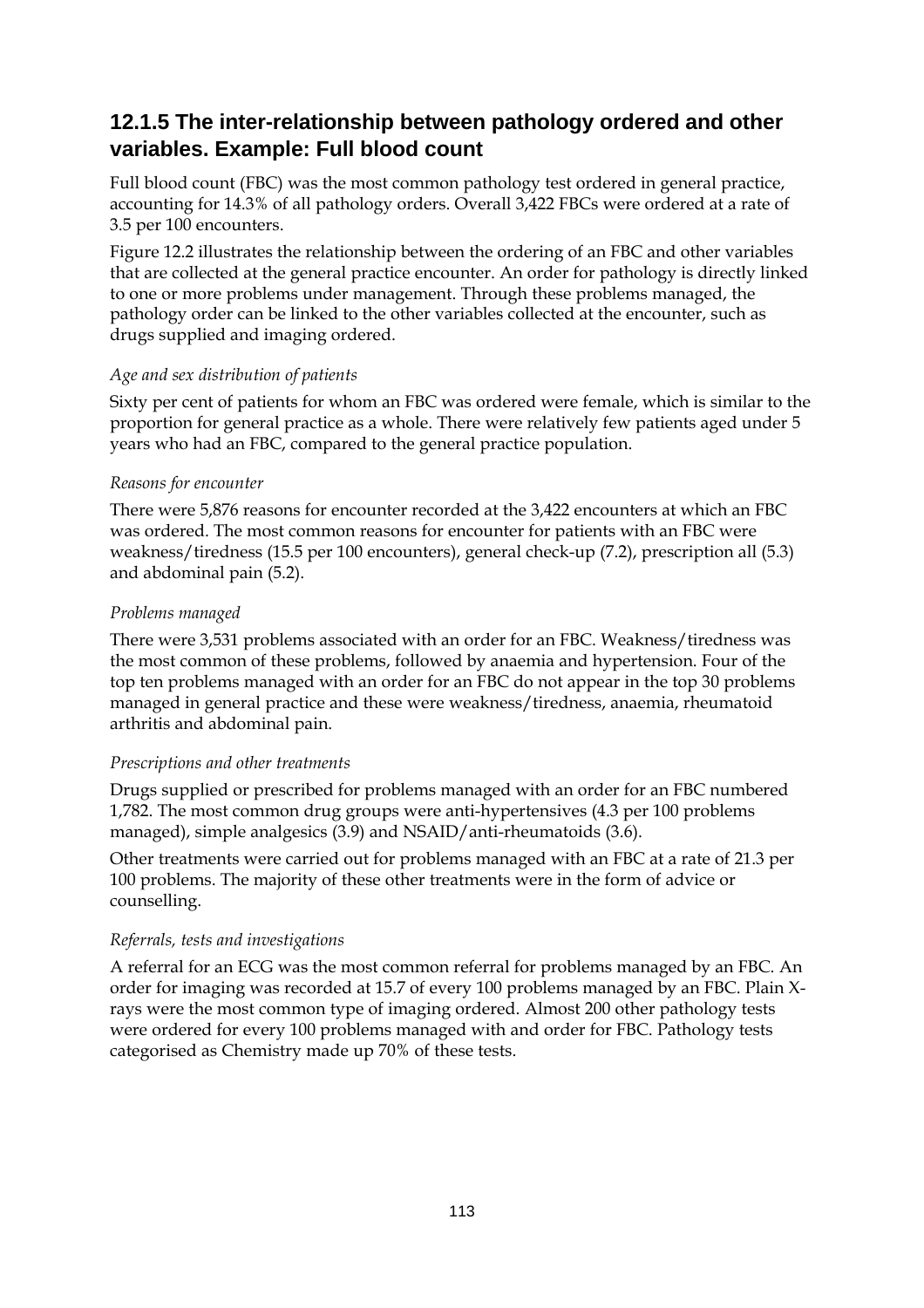### **12.1.5 The inter-relationship between pathology ordered and other variables. Example: Full blood count**

Full blood count (FBC) was the most common pathology test ordered in general practice, accounting for 14.3% of all pathology orders. Overall 3,422 FBCs were ordered at a rate of 3.5 per 100 encounters.

Figure 12.2 illustrates the relationship between the ordering of an FBC and other variables that are collected at the general practice encounter. An order for pathology is directly linked to one or more problems under management. Through these problems managed, the pathology order can be linked to the other variables collected at the encounter, such as drugs supplied and imaging ordered.

### *Age and sex distribution of patients*

Sixty per cent of patients for whom an FBC was ordered were female, which is similar to the proportion for general practice as a whole. There were relatively few patients aged under 5 years who had an FBC, compared to the general practice population.

### *Reasons for encounter*

There were 5,876 reasons for encounter recorded at the 3,422 encounters at which an FBC was ordered. The most common reasons for encounter for patients with an FBC were weakness/tiredness (15.5 per 100 encounters), general check-up (7.2), prescription all (5.3) and abdominal pain (5.2).

### *Problems managed*

There were 3,531 problems associated with an order for an FBC. Weakness/tiredness was the most common of these problems, followed by anaemia and hypertension. Four of the top ten problems managed with an order for an FBC do not appear in the top 30 problems managed in general practice and these were weakness/tiredness, anaemia, rheumatoid arthritis and abdominal pain.

### *Prescriptions and other treatments*

Drugs supplied or prescribed for problems managed with an order for an FBC numbered 1,782. The most common drug groups were anti-hypertensives (4.3 per 100 problems managed), simple analgesics (3.9) and NSAID/anti-rheumatoids (3.6).

Other treatments were carried out for problems managed with an FBC at a rate of 21.3 per 100 problems. The majority of these other treatments were in the form of advice or counselling.

### *Referrals, tests and investigations*

A referral for an ECG was the most common referral for problems managed by an FBC. An order for imaging was recorded at 15.7 of every 100 problems managed by an FBC. Plain Xrays were the most common type of imaging ordered. Almost 200 other pathology tests were ordered for every 100 problems managed with and order for FBC. Pathology tests categorised as Chemistry made up 70% of these tests.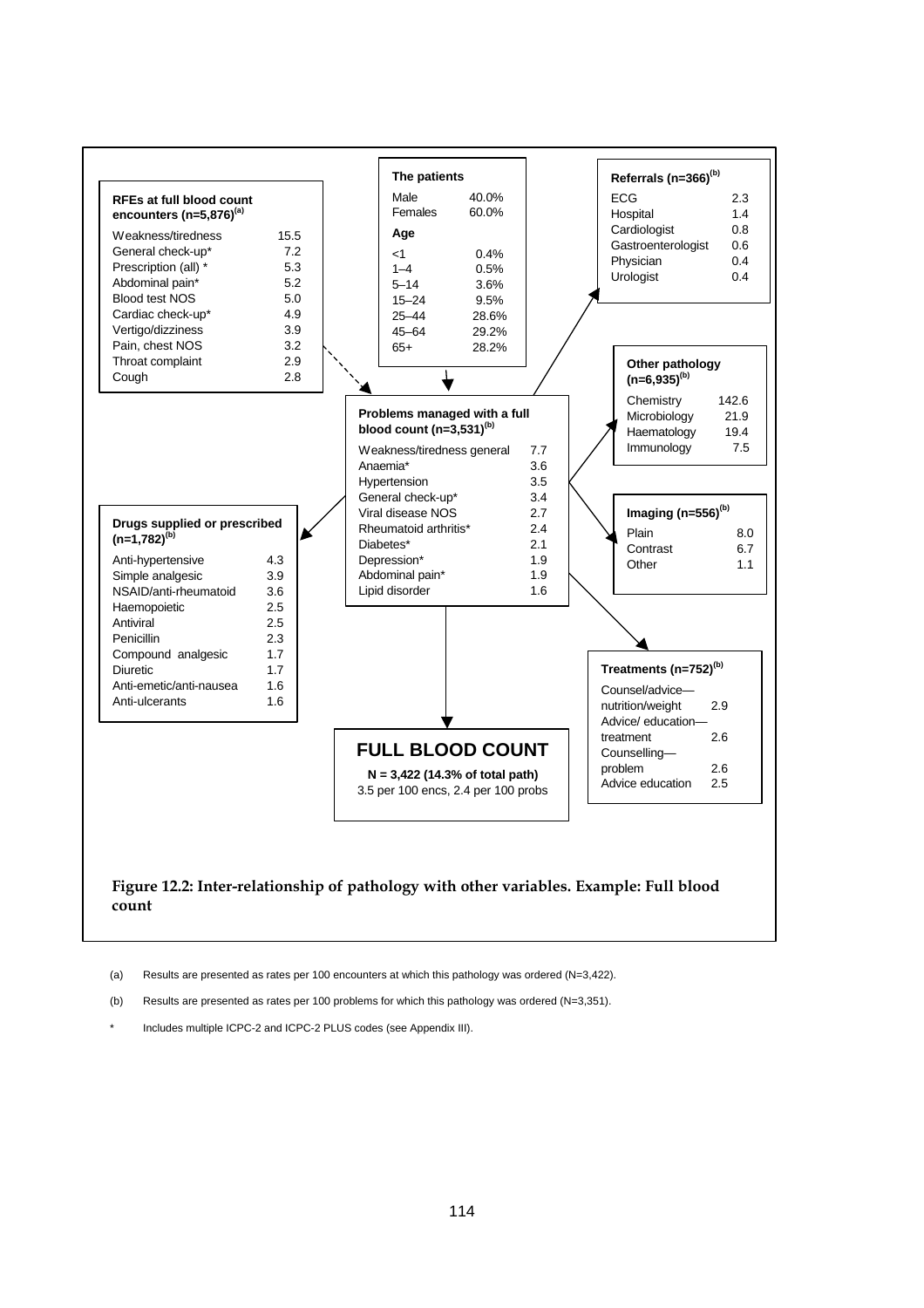

(a) Results are presented as rates per 100 encounters at which this pathology was ordered (N=3,422).

- (b) Results are presented as rates per 100 problems for which this pathology was ordered (N=3,351).
- Includes multiple ICPC-2 and ICPC-2 PLUS codes (see Appendix III).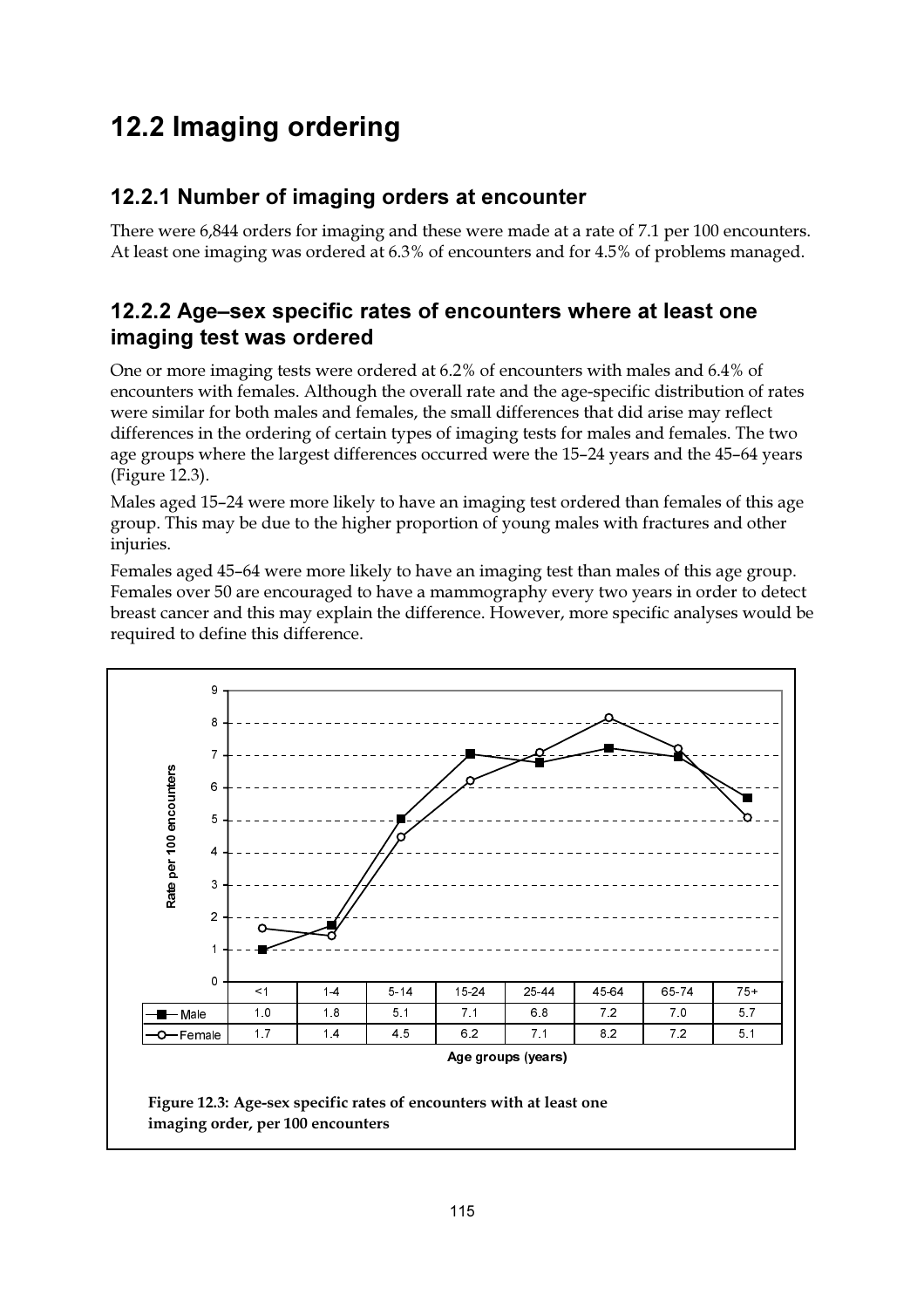# 12.2 Imaging ordering

### 12.2.1 Number of imaging orders at encounter

There were 6,844 orders for imaging and these were made at a rate of 7.1 per 100 encounters. At least one imaging was ordered at 6.3% of encounters and for 4.5% of problems managed.

### 12.2.2 Age-sex specific rates of encounters where at least one imaging test was ordered

One or more imaging tests were ordered at 6.2% of encounters with males and 6.4% of encounters with females. Although the overall rate and the age-specific distribution of rates were similar for both males and females, the small differences that did arise may reflect differences in the ordering of certain types of imaging tests for males and females. The two age groups where the largest differences occurred were the 15-24 years and the 45-64 years (Figure 12.3).

Males aged 15-24 were more likely to have an imaging test ordered than females of this age group. This may be due to the higher proportion of young males with fractures and other injuries.

Females aged 45-64 were more likely to have an imaging test than males of this age group. Females over 50 are encouraged to have a mammography every two years in order to detect breast cancer and this may explain the difference. However, more specific analyses would be required to define this difference.

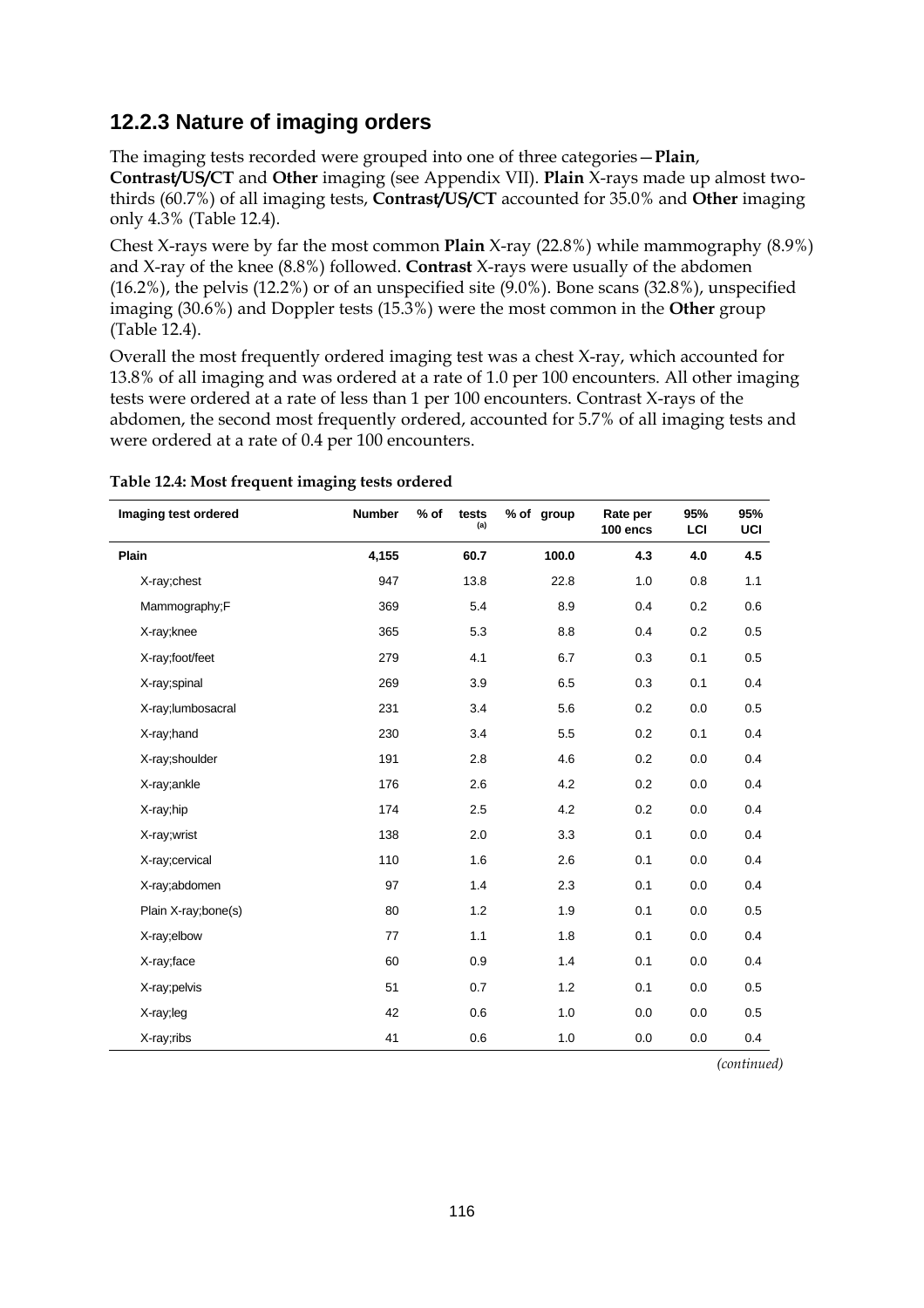### **12.2.3 Nature of imaging orders**

The imaging tests recorded were grouped into one of three categories—**Plain**, **Contrast/US/CT** and **Other** imaging (see Appendix VII). **Plain** X-rays made up almost twothirds (60.7%) of all imaging tests, **Contrast/US/CT** accounted for 35.0% and **Other** imaging only 4.3% (Table 12.4).

Chest X-rays were by far the most common **Plain** X-ray (22.8%) while mammography (8.9%) and X-ray of the knee (8.8%) followed. **Contrast** X-rays were usually of the abdomen (16.2%), the pelvis (12.2%) or of an unspecified site (9.0%). Bone scans (32.8%), unspecified imaging (30.6%) and Doppler tests (15.3%) were the most common in the **Other** group (Table 12.4).

Overall the most frequently ordered imaging test was a chest X-ray, which accounted for 13.8% of all imaging and was ordered at a rate of 1.0 per 100 encounters. All other imaging tests were ordered at a rate of less than 1 per 100 encounters. Contrast X-rays of the abdomen, the second most frequently ordered, accounted for 5.7% of all imaging tests and were ordered at a rate of 0.4 per 100 encounters.

| Imaging test ordered | <b>Number</b> | $%$ of<br>tests<br>(a) | % of group | Rate per<br>100 encs | 95%<br>LCI | 95%<br>UCI |
|----------------------|---------------|------------------------|------------|----------------------|------------|------------|
| Plain                | 4,155         | 60.7                   | 100.0      | 4.3                  | 4.0        | 4.5        |
| X-ray;chest          | 947           | 13.8                   | 22.8       | 1.0                  | 0.8        | 1.1        |
| Mammography;F        | 369           | 5.4                    | 8.9        | 0.4                  | 0.2        | 0.6        |
| X-ray;knee           | 365           | 5.3                    | 8.8        | 0.4                  | 0.2        | 0.5        |
| X-ray;foot/feet      | 279           | 4.1                    | 6.7        | 0.3                  | 0.1        | 0.5        |
| X-ray;spinal         | 269           | 3.9                    | 6.5        | 0.3                  | 0.1        | 0.4        |
| X-ray;lumbosacral    | 231           | 3.4                    | 5.6        | 0.2                  | 0.0        | 0.5        |
| X-ray; hand          | 230           | 3.4                    | 5.5        | 0.2                  | 0.1        | 0.4        |
| X-ray;shoulder       | 191           | 2.8                    | 4.6        | 0.2                  | 0.0        | 0.4        |
| X-ray;ankle          | 176           | 2.6                    | 4.2        | 0.2                  | 0.0        | 0.4        |
| X-ray;hip            | 174           | 2.5                    | 4.2        | 0.2                  | 0.0        | 0.4        |
| X-ray;wrist          | 138           | 2.0                    | 3.3        | 0.1                  | 0.0        | 0.4        |
| X-ray;cervical       | 110           | 1.6                    | 2.6        | 0.1                  | 0.0        | 0.4        |
| X-ray;abdomen        | 97            | 1.4                    | 2.3        | 0.1                  | 0.0        | 0.4        |
| Plain X-ray;bone(s)  | 80            | 1.2                    | 1.9        | 0.1                  | 0.0        | 0.5        |
| X-ray;elbow          | 77            | 1.1                    | 1.8        | 0.1                  | 0.0        | 0.4        |
| X-ray;face           | 60            | 0.9                    | 1.4        | 0.1                  | 0.0        | 0.4        |
| X-ray;pelvis         | 51            | 0.7                    | 1.2        | 0.1                  | 0.0        | 0.5        |
| X-ray;leg            | 42            | 0.6                    | 1.0        | 0.0                  | 0.0        | 0.5        |
| X-ray;ribs           | 41            | 0.6                    | 1.0        | 0.0                  | 0.0        | 0.4        |

#### **Table 12.4: Most frequent imaging tests ordered**

*(continued)*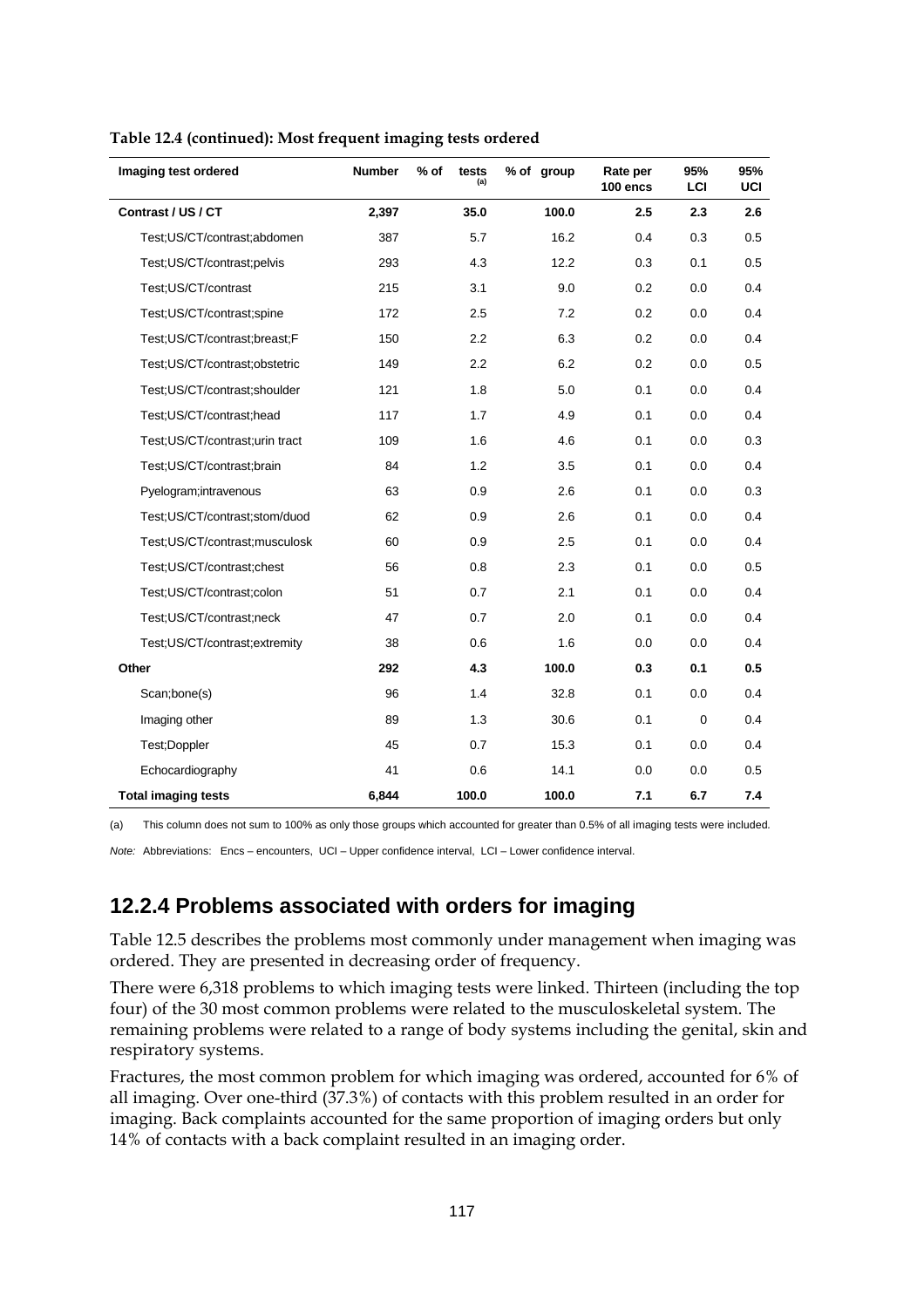| Imaging test ordered           | <b>Number</b> | $%$ of<br>tests<br>(a) | % of group | Rate per<br>100 encs | 95%<br>LCI  | 95%<br>UCI |
|--------------------------------|---------------|------------------------|------------|----------------------|-------------|------------|
| Contrast / US / CT             | 2,397         | 35.0                   | 100.0      | 2.5                  | 2.3         | 2.6        |
| Test;US/CT/contrast;abdomen    | 387           | 5.7                    | 16.2       | 0.4                  | 0.3         | 0.5        |
| Test;US/CT/contrast;pelvis     | 293           | 4.3                    | 12.2       | 0.3                  | 0.1         | 0.5        |
| Test; US/CT/contrast           | 215           | 3.1                    | 9.0        | 0.2                  | 0.0         | 0.4        |
| Test;US/CT/contrast;spine      | 172           | 2.5                    | 7.2        | 0.2                  | 0.0         | 0.4        |
| Test;US/CT/contrast;breast;F   | 150           | 2.2                    | 6.3        | 0.2                  | 0.0         | 0.4        |
| Test;US/CT/contrast;obstetric  | 149           | 2.2                    | 6.2        | 0.2                  | 0.0         | 0.5        |
| Test;US/CT/contrast;shoulder   | 121           | 1.8                    | 5.0        | 0.1                  | 0.0         | 0.4        |
| Test;US/CT/contrast;head       | 117           | 1.7                    | 4.9        | 0.1                  | 0.0         | 0.4        |
| Test;US/CT/contrast;urin tract | 109           | 1.6                    | 4.6        | 0.1                  | 0.0         | 0.3        |
| Test; US/CT/contrast; brain    | 84            | 1.2                    | 3.5        | 0.1                  | 0.0         | 0.4        |
| Pyelogram; intravenous         | 63            | 0.9                    | 2.6        | 0.1                  | 0.0         | 0.3        |
| Test;US/CT/contrast;stom/duod  | 62            | 0.9                    | 2.6        | 0.1                  | 0.0         | 0.4        |
| Test;US/CT/contrast;musculosk  | 60            | 0.9                    | 2.5        | 0.1                  | 0.0         | 0.4        |
| Test;US/CT/contrast;chest      | 56            | 0.8                    | 2.3        | 0.1                  | 0.0         | 0.5        |
| Test:US/CT/contrast:colon      | 51            | 0.7                    | 2.1        | 0.1                  | 0.0         | 0.4        |
| Test:US/CT/contrast:neck       | 47            | 0.7                    | 2.0        | 0.1                  | 0.0         | 0.4        |
| Test;US/CT/contrast;extremity  | 38            | 0.6                    | 1.6        | 0.0                  | 0.0         | 0.4        |
| Other                          | 292           | 4.3                    | 100.0      | 0.3                  | 0.1         | 0.5        |
| Scan;bone(s)                   | 96            | 1.4                    | 32.8       | 0.1                  | 0.0         | 0.4        |
| Imaging other                  | 89            | 1.3                    | 30.6       | 0.1                  | $\mathbf 0$ | 0.4        |
| Test:Doppler                   | 45            | 0.7                    | 15.3       | 0.1                  | 0.0         | 0.4        |
| Echocardiography               | 41            | 0.6                    | 14.1       | 0.0                  | 0.0         | 0.5        |
| <b>Total imaging tests</b>     | 6,844         | 100.0                  | 100.0      | 7.1                  | 6.7         | 7.4        |

**Table 12.4 (continued): Most frequent imaging tests ordered**

(a) This column does not sum to 100% as only those groups which accounted for greater than 0.5% of all imaging tests were included*.*

*Note:* Abbreviations: Encs – encounters, UCI – Upper confidence interval, LCI – Lower confidence interval.

### **12.2.4 Problems associated with orders for imaging**

Table 12.5 describes the problems most commonly under management when imaging was ordered. They are presented in decreasing order of frequency.

There were 6,318 problems to which imaging tests were linked. Thirteen (including the top four) of the 30 most common problems were related to the musculoskeletal system. The remaining problems were related to a range of body systems including the genital, skin and respiratory systems.

Fractures, the most common problem for which imaging was ordered, accounted for 6% of all imaging. Over one-third (37.3%) of contacts with this problem resulted in an order for imaging. Back complaints accounted for the same proportion of imaging orders but only 14% of contacts with a back complaint resulted in an imaging order.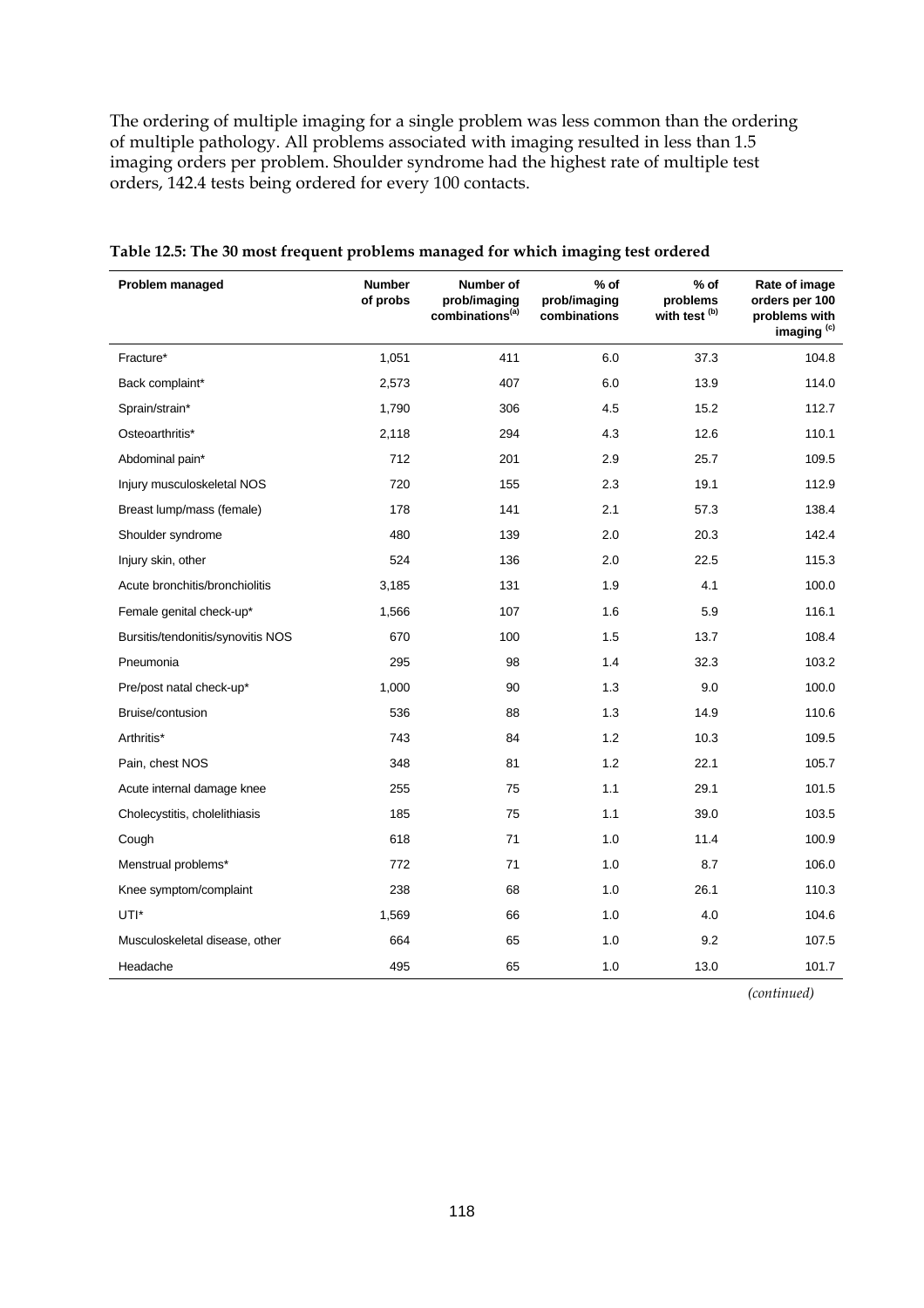The ordering of multiple imaging for a single problem was less common than the ordering of multiple pathology. All problems associated with imaging resulted in less than 1.5 imaging orders per problem. Shoulder syndrome had the highest rate of multiple test orders, 142.4 tests being ordered for every 100 contacts.

| Problem managed                   | <b>Number</b><br>of probs | Number of<br>prob/imaging<br>combinations <sup>(a)</sup> | $%$ of<br>prob/imaging<br>combinations | $%$ of<br>problems<br>with test <sup>(b)</sup> | Rate of image<br>orders per 100<br>problems with<br>imaging <sup>(c)</sup> |
|-----------------------------------|---------------------------|----------------------------------------------------------|----------------------------------------|------------------------------------------------|----------------------------------------------------------------------------|
| Fracture*                         | 1,051                     | 411                                                      | 6.0                                    | 37.3                                           | 104.8                                                                      |
| Back complaint*                   | 2,573                     | 407                                                      | 6.0                                    | 13.9                                           | 114.0                                                                      |
| Sprain/strain*                    | 1,790                     | 306                                                      | 4.5                                    | 15.2                                           | 112.7                                                                      |
| Osteoarthritis*                   | 2,118                     | 294                                                      | 4.3                                    | 12.6                                           | 110.1                                                                      |
| Abdominal pain*                   | 712                       | 201                                                      | 2.9                                    | 25.7                                           | 109.5                                                                      |
| Injury musculoskeletal NOS        | 720                       | 155                                                      | 2.3                                    | 19.1                                           | 112.9                                                                      |
| Breast lump/mass (female)         | 178                       | 141                                                      | 2.1                                    | 57.3                                           | 138.4                                                                      |
| Shoulder syndrome                 | 480                       | 139                                                      | 2.0                                    | 20.3                                           | 142.4                                                                      |
| Injury skin, other                | 524                       | 136                                                      | 2.0                                    | 22.5                                           | 115.3                                                                      |
| Acute bronchitis/bronchiolitis    | 3,185                     | 131                                                      | 1.9                                    | 4.1                                            | 100.0                                                                      |
| Female genital check-up*          | 1,566                     | 107                                                      | 1.6                                    | 5.9                                            | 116.1                                                                      |
| Bursitis/tendonitis/synovitis NOS | 670                       | 100                                                      | 1.5                                    | 13.7                                           | 108.4                                                                      |
| Pneumonia                         | 295                       | 98                                                       | 1.4                                    | 32.3                                           | 103.2                                                                      |
| Pre/post natal check-up*          | 1,000                     | 90                                                       | 1.3                                    | 9.0                                            | 100.0                                                                      |
| Bruise/contusion                  | 536                       | 88                                                       | 1.3                                    | 14.9                                           | 110.6                                                                      |
| Arthritis*                        | 743                       | 84                                                       | 1.2                                    | 10.3                                           | 109.5                                                                      |
| Pain, chest NOS                   | 348                       | 81                                                       | 1.2                                    | 22.1                                           | 105.7                                                                      |
| Acute internal damage knee        | 255                       | 75                                                       | 1.1                                    | 29.1                                           | 101.5                                                                      |
| Cholecystitis, cholelithiasis     | 185                       | 75                                                       | 1.1                                    | 39.0                                           | 103.5                                                                      |
| Cough                             | 618                       | 71                                                       | 1.0                                    | 11.4                                           | 100.9                                                                      |
| Menstrual problems*               | 772                       | 71                                                       | 1.0                                    | 8.7                                            | 106.0                                                                      |
| Knee symptom/complaint            | 238                       | 68                                                       | 1.0                                    | 26.1                                           | 110.3                                                                      |
| UTI*                              | 1,569                     | 66                                                       | 1.0                                    | 4.0                                            | 104.6                                                                      |
| Musculoskeletal disease, other    | 664                       | 65                                                       | 1.0                                    | 9.2                                            | 107.5                                                                      |
| Headache                          | 495                       | 65                                                       | 1.0                                    | 13.0                                           | 101.7                                                                      |

**Table 12.5: The 30 most frequent problems managed for which imaging test ordered**

*(continued)*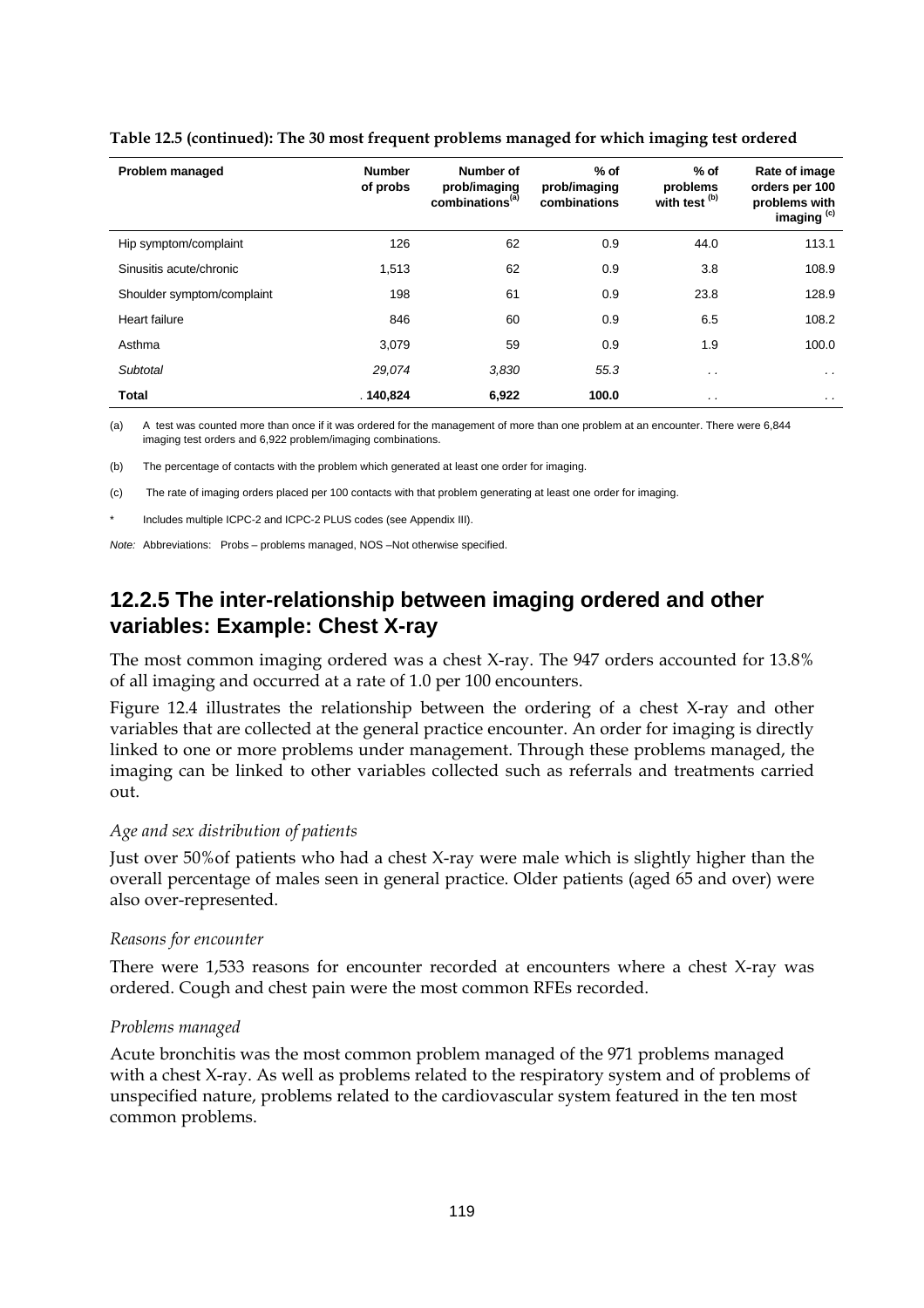| <b>Problem managed</b>     | <b>Number</b><br>of probs | Number of<br>prob/imaging<br>combinations <sup>(a)</sup> | $%$ of<br>prob/imaging<br>combinations | $%$ of<br>problems<br>with test <sup>(b)</sup> | Rate of image<br>orders per 100<br>problems with<br>imaging <sup>(c)</sup> |
|----------------------------|---------------------------|----------------------------------------------------------|----------------------------------------|------------------------------------------------|----------------------------------------------------------------------------|
| Hip symptom/complaint      | 126                       | 62                                                       | 0.9                                    | 44.0                                           | 113.1                                                                      |
| Sinusitis acute/chronic    | 1,513                     | 62                                                       | 0.9                                    | 3.8                                            | 108.9                                                                      |
| Shoulder symptom/complaint | 198                       | 61                                                       | 0.9                                    | 23.8                                           | 128.9                                                                      |
| Heart failure              | 846                       | 60                                                       | 0.9                                    | 6.5                                            | 108.2                                                                      |
| Asthma                     | 3,079                     | 59                                                       | 0.9                                    | 1.9                                            | 100.0                                                                      |
| Subtotal                   | 29,074                    | 3,830                                                    | 55.3                                   | . .                                            | $\cdot$ .                                                                  |
| <b>Total</b>               | .140,824                  | 6,922                                                    | 100.0                                  | $\cdot$ $\cdot$                                | $\sim$ $\sim$                                                              |

#### **Table 12.5 (continued): The 30 most frequent problems managed for which imaging test ordered**

(a) A test was counted more than once if it was ordered for the management of more than one problem at an encounter. There were 6,844 imaging test orders and 6,922 problem/imaging combinations.

(b) The percentage of contacts with the problem which generated at least one order for imaging.

(c) The rate of imaging orders placed per 100 contacts with that problem generating at least one order for imaging.

Includes multiple ICPC-2 and ICPC-2 PLUS codes (see Appendix III).

*Note:* Abbreviations: Probs – problems managed, NOS –Not otherwise specified.

### **12.2.5 The inter-relationship between imaging ordered and other variables: Example: Chest X-ray**

The most common imaging ordered was a chest X-ray. The 947 orders accounted for 13.8% of all imaging and occurred at a rate of 1.0 per 100 encounters.

Figure 12.4 illustrates the relationship between the ordering of a chest X-ray and other variables that are collected at the general practice encounter. An order for imaging is directly linked to one or more problems under management. Through these problems managed, the imaging can be linked to other variables collected such as referrals and treatments carried out.

#### *Age and sex distribution of patients*

Just over 50%of patients who had a chest X-ray were male which is slightly higher than the overall percentage of males seen in general practice. Older patients (aged 65 and over) were also over-represented.

#### *Reasons for encounter*

There were 1,533 reasons for encounter recorded at encounters where a chest X-ray was ordered. Cough and chest pain were the most common RFEs recorded.

#### *Problems managed*

Acute bronchitis was the most common problem managed of the 971 problems managed with a chest X-ray. As well as problems related to the respiratory system and of problems of unspecified nature, problems related to the cardiovascular system featured in the ten most common problems.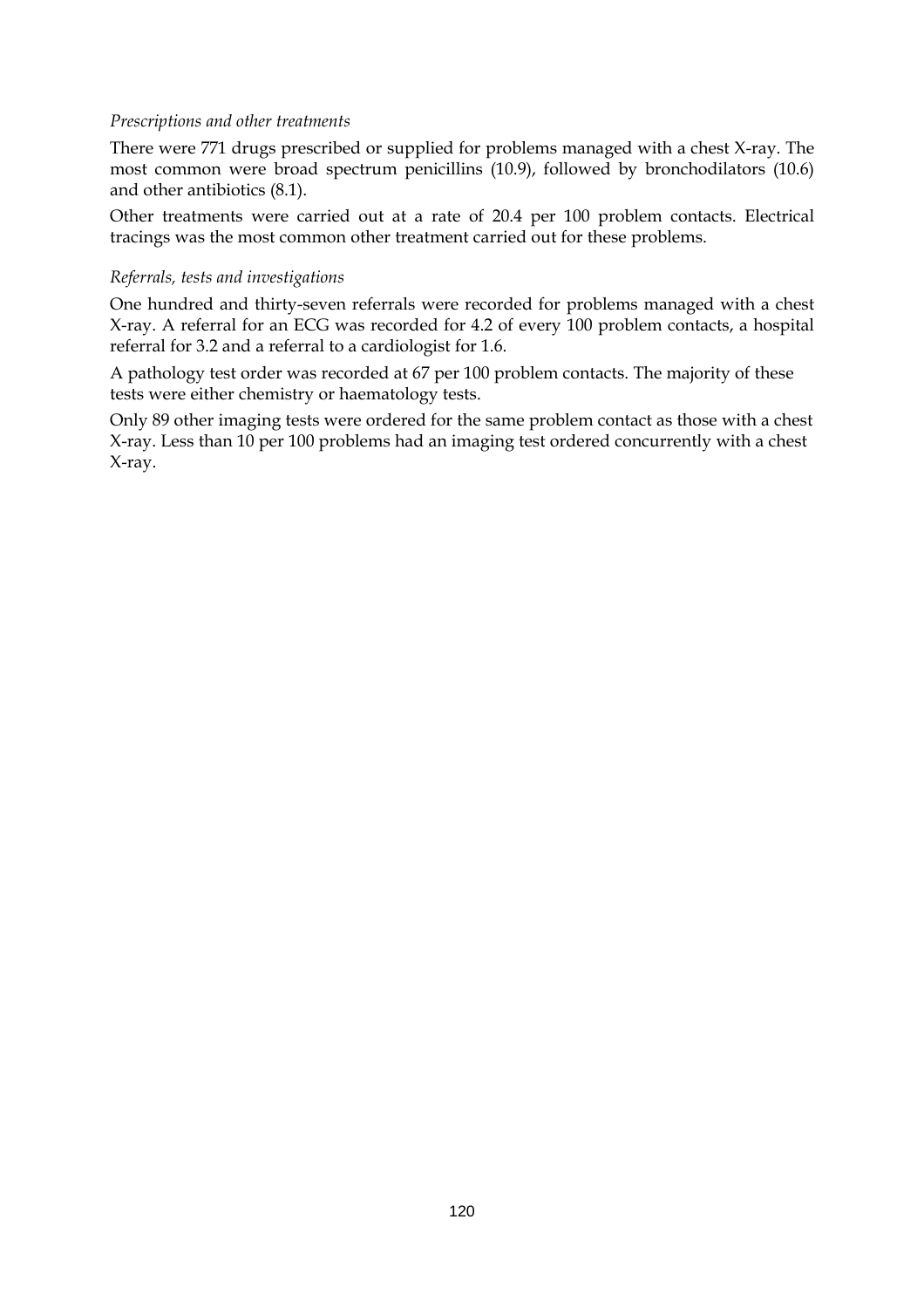### *Prescriptions and other treatments*

There were 771 drugs prescribed or supplied for problems managed with a chest X-ray. The most common were broad spectrum penicillins (10.9), followed by bronchodilators (10.6) and other antibiotics (8.1).

Other treatments were carried out at a rate of 20.4 per 100 problem contacts. Electrical tracings was the most common other treatment carried out for these problems.

#### *Referrals, tests and investigations*

One hundred and thirty-seven referrals were recorded for problems managed with a chest X-ray. A referral for an ECG was recorded for 4.2 of every 100 problem contacts, a hospital referral for 3.2 and a referral to a cardiologist for 1.6.

A pathology test order was recorded at 67 per 100 problem contacts. The majority of these tests were either chemistry or haematology tests.

Only 89 other imaging tests were ordered for the same problem contact as those with a chest X-ray. Less than 10 per 100 problems had an imaging test ordered concurrently with a chest X-ray.